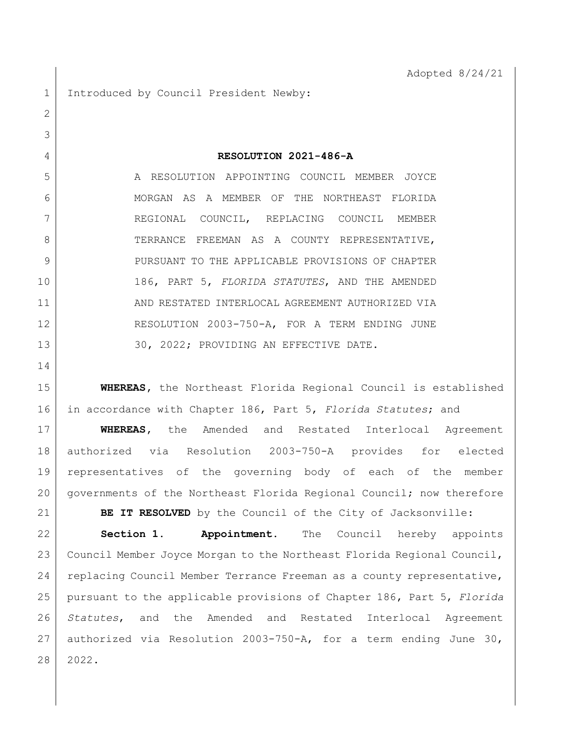1 Introduced by Council President Newby:

**RESOLUTION 2021-486-A**

 A RESOLUTION APPOINTING COUNCIL MEMBER JOYCE 6 MORGAN AS A MEMBER OF THE NORTHEAST FLORIDA REGIONAL COUNCIL, REPLACING COUNCIL MEMBER 8 TERRANCE FREEMAN AS A COUNTY REPRESENTATIVE, 9 PURSUANT TO THE APPLICABLE PROVISIONS OF CHAPTER 186, PART 5, *FLORIDA STATUTES*, AND THE AMENDED AND RESTATED INTERLOCAL AGREEMENT AUTHORIZED VIA 12 RESOLUTION 2003-750-A, FOR A TERM ENDING JUNE 13 30, 2022; PROVIDING AN EFFECTIVE DATE.

 **WHEREAS,** the Northeast Florida Regional Council is established in accordance with Chapter 186, Part 5, *Florida Statutes*; and

 **WHEREAS,** the Amended and Restated Interlocal Agreement authorized via Resolution 2003-750-A provides for elected representatives of the governing body of each of the member governments of the Northeast Florida Regional Council; now therefore

**BE IT RESOLVED** by the Council of the City of Jacksonville: **Section 1. Appointment.** The Council hereby appoints Council Member Joyce Morgan to the Northeast Florida Regional Council, replacing Council Member Terrance Freeman as a county representative, pursuant to the applicable provisions of Chapter 186, Part 5, *Florida Statutes*, and the Amended and Restated Interlocal Agreement authorized via Resolution 2003-750-A, for a term ending June 30, 2022.